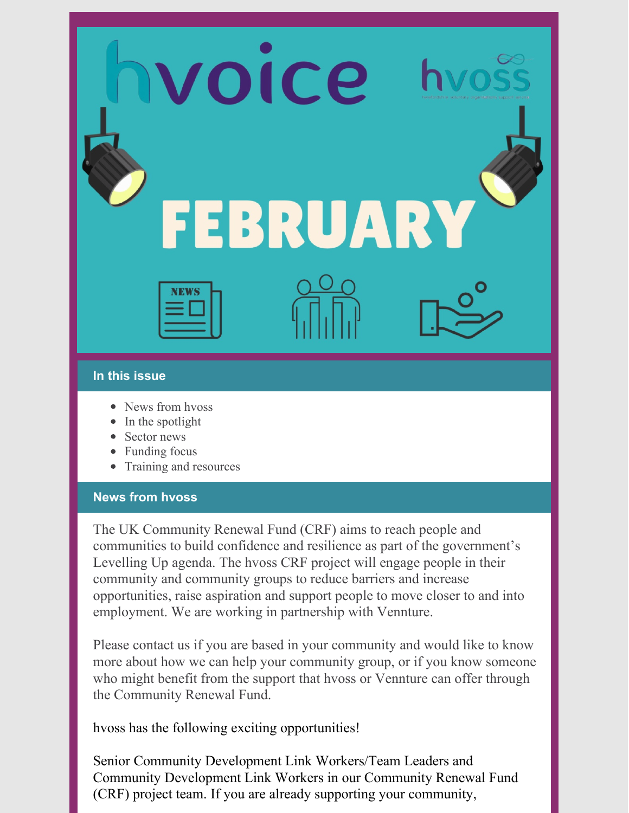voice EBRUARY

#### **In this issue**

- News from hvoss
- $\bullet$  In the spotlight
- Sector news
- Funding focus
- Training and resources

#### **News from hvoss**

The UK Community Renewal Fund (CRF) aims to reach people and communities to build confidence and resilience as part of the government's Levelling Up agenda. The hvoss CRF project will engage people in their community and community groups to reduce barriers and increase opportunities, raise aspiration and support people to move closer to and into employment. We are working in partnership with Vennture.

Please contact us if you are based in your community and would like to know more about how we can help your community group, or if you know someone who might benefit from the support that hvoss or Vennture can offer through the Community Renewal Fund.

hvoss has the following exciting opportunities!

Senior Community Development Link Workers/Team Leaders and Community Development Link Workers in our Community Renewal Fund (CRF) project team. If you are already supporting your community,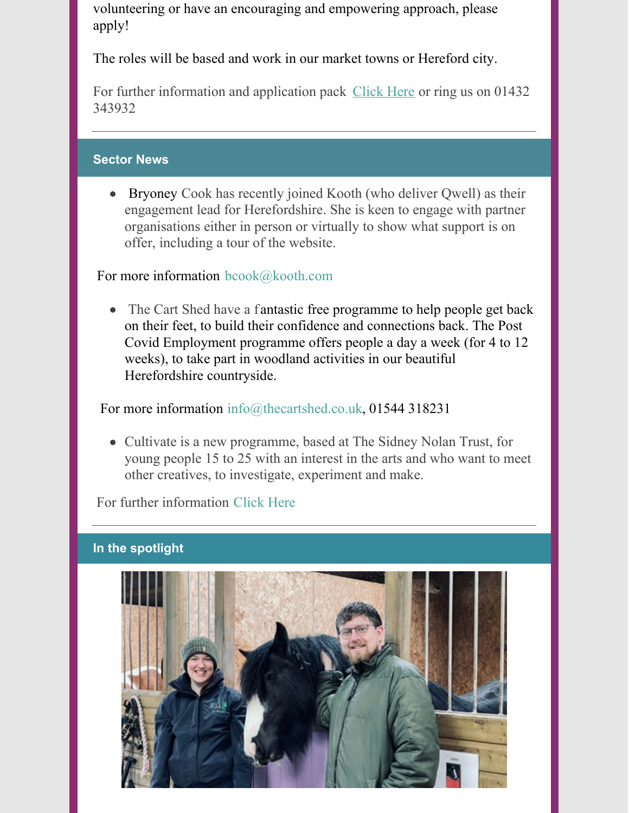volunteering or have an encouraging and empowering approach, please apply!

The roles will be based and work in our market towns or Hereford city.

For further information and application pack [Click](https://hvoss.org.uk/jobs.aspx) Here or ring us on 01432 343932

#### **Sector News**

Bryoney Cook has recently joined Kooth (who deliver Qwell) as their engagement lead for Herefordshire. She is keen to engage with partner organisations either in person or virtually to show what support is on offer, including a tour of the website.

For more information [bcook@kooth.com](mailto:bcook@kooth.com)

• The Cart Shed have a fantastic free programme to help people get back on their feet, to build their confidence and connections back. The Post Covid Employment programme offers people a day a week (for 4 to 12 weeks), to take part in woodland activities in our beautiful Herefordshire countryside.

For more information [info@thecartshed.co.uk](mailto:info@thecartshed.co.uk), 01544 318231

• Cultivate is a new programme, based at The Sidney Nolan Trust, for young people 15 to 25 with an interest in the arts and who want to meet other creatives, to investigate, experiment and make.

For further information [Click](https://www.sidneynolantrust.org/learning/cultivate/  �%5BKH1%5DSpelling?) Here

#### **In the spotlight**

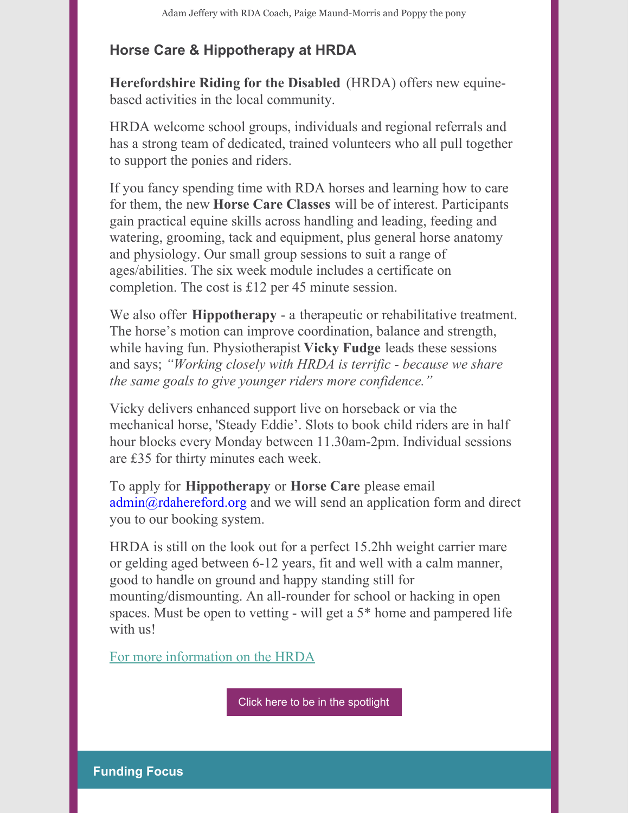# **Horse Care & Hippotherapy at HRDA**

**Herefordshire Riding for the Disabled** (HRDA) offers new equinebased activities in the local community.

HRDA welcome school groups, individuals and regional referrals and has a strong team of dedicated, trained volunteers who all pull together to support the ponies and riders.

If you fancy spending time with RDA horses and learning how to care for them, the new **Horse Care Classes** will be of interest. Participants gain practical equine skills across handling and leading, feeding and watering, grooming, tack and equipment, plus general horse anatomy and physiology. Our small group sessions to suit a range of ages/abilities. The six week module includes a certificate on completion. The cost is £12 per 45 minute session.

We also offer **Hippotherapy** - a therapeutic or rehabilitative treatment. The horse's motion can improve coordination, balance and strength, while having fun. Physiotherapist **Vicky Fudge** leads these sessions and says; *"Working closely with HRDA is terrific - because we share the same goals to give younger riders more confidence."*

Vicky delivers enhanced support live on horseback or via the mechanical horse, 'Steady Eddie'. Slots to book child riders are in half hour blocks every Monday between 11.30am-2pm. Individual sessions are £35 for thirty minutes each week.

To apply for **Hippotherapy** or **Horse Care** please email admin@rdahereford.org and we will send an application form and direct you to our booking system.

HRDA is still on the look out for a perfect 15.2hh weight carrier mare or gelding aged between 6-12 years, fit and well with a calm manner, good to handle on ground and happy standing still for mounting/dismounting. An all-rounder for school or hacking in open spaces. Must be open to vetting - will get a 5\* home and pampered life with us!

For more [information](http://www.rdahereford.org/) on the HRDA

Click here to be in the [spotlight](https://form.jotform.com/213433358642354)

**Funding Focus**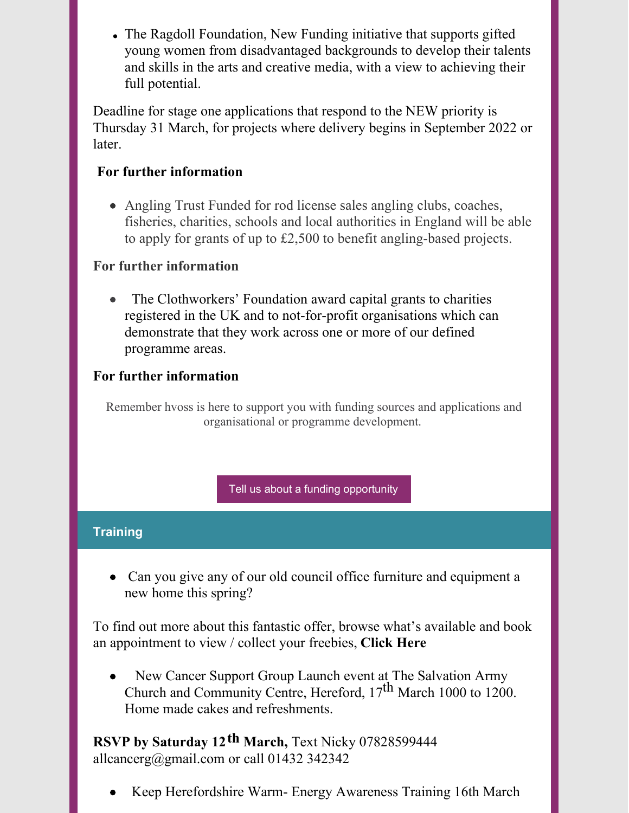The Ragdoll Foundation, New Funding initiative that supports gifted young women from disadvantaged backgrounds to develop their talents and skills in the arts and creative media, with a view to achieving their full potential.

Deadline for stage one applications that respond to the NEW priority is Thursday 31 March, for projects where delivery begins in September 2022 or later.

### **For further [information](https://www.ragdollfoundation.org.uk/portfolio/grant-giving)**

Angling Trust Funded for rod license sales angling clubs, coaches, fisheries, charities, schools and local authorities in England will be able to apply for grants of up to £2,500 to benefit angling-based projects.

### **For further [information](https://anglingtrust.net/)**

The Clothworkers' Foundation award capital grants to charities registered in the UK and to not-for-profit organisations which can demonstrate that they work across one or more of our defined programme areas.

# **For further [information](https://www.clothworkersfoundation.org.uk/about-us/)**

Remember hvoss is here to support you with funding sources and applications and organisational or programme development.

Tell us about a funding [opportunity](https://form.jotform.com/213432879980366)

# **Training**

Can you give any of our old council office furniture and equipment a new home this spring?

To find out more about this fantastic offer, browse what's available and book an appointment to view / collect your freebies, **[Click](http://www.talkcommunitydirectory.org/furniture) Here**

New Cancer Support Group Launch event at The Salvation Army Church and Community Centre, Hereford, 17 th March 1000 to 1200. Home made cakes and refreshments.

**RSVP by Saturday 12 th March,** Text Nicky 07828599444 [allcancerg@gmail.com](mailto:allcancerg@gmail.com) or call 01432 342342

Keep Herefordshire Warm- Energy Awareness Training 16th March